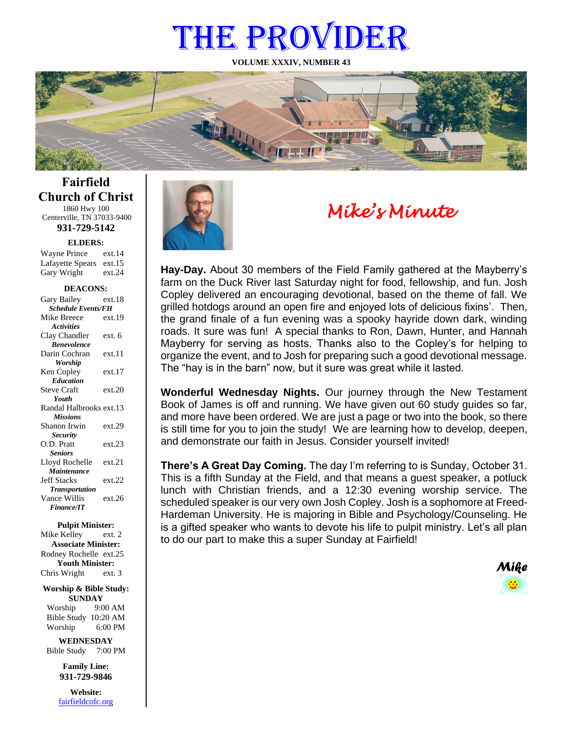# THE PROVIDER

**VOLUME XXXIV, NUMBER 43**



**Fairfield Church of Christ** 1860 Hwy 100 Centerville, TN 37033-9400

**931-729-5142**

**ELDERS:**

| <b>Wayne Prince</b>     | ext.14 |
|-------------------------|--------|
| Lafayette Spears ext.15 |        |
| Gary Wright             | ext.24 |

#### **DEACONS:**

| Gary Bailey<br><b>Schedule Events/FH</b><br>Mike Breece<br>ext.19<br><b>Activities</b><br>Clay Chandler<br>ext. 6 |
|-------------------------------------------------------------------------------------------------------------------|
|                                                                                                                   |
|                                                                                                                   |
|                                                                                                                   |
|                                                                                                                   |
| <b>Benevolence</b>                                                                                                |
| Darin Cochran<br>ext.11                                                                                           |
| <b>Worship</b>                                                                                                    |
| ext.17<br>Ken Copley                                                                                              |
| <b>Education</b>                                                                                                  |
| <b>Steve Craft</b><br>ext.20                                                                                      |
| Youth                                                                                                             |
| Randal Halbrooks ext.13                                                                                           |
| <b>Missions</b>                                                                                                   |
| ext.29<br>Shanon Irwin                                                                                            |
| <b>Security</b>                                                                                                   |
| O.D. Pratt<br>ext.23                                                                                              |
| <b>Seniors</b>                                                                                                    |
| ext.21<br>Lloyd Rochelle                                                                                          |
| Maintenance                                                                                                       |
| <b>Jeff Stacks</b><br>ext.22                                                                                      |
| <b>Transportation</b>                                                                                             |
| Vance Willis<br>ext.26                                                                                            |
| <b>Finance/IT</b>                                                                                                 |

#### **Pulpit Minister:**

Mike Kelley ext. 2 **Associate Minister:** Rodney Rochelle ext.25 **Youth Minister:** Chris Wright ext. 3

#### **Worship & Bible Study: SUNDAY**

Worship 9:00 AM Bible Study 10:20 AM Worship 6:00 PM

**WEDNESDAY** Bible Study 7:00 PM

> **Family Line: 931-729-9846**

**Website:** [fairfieldcofc.org](file:///C:/Users/RickJoyce/Documents/Fairfield%20Website%20Files/fairfieldchurchofchrist.org)



# *Mike's Minute*

**Hay-Day.** About 30 members of the Field Family gathered at the Mayberry's farm on the Duck River last Saturday night for food, fellowship, and fun. Josh Copley delivered an encouraging devotional, based on the theme of fall. We grilled hotdogs around an open fire and enjoyed lots of delicious fixins'. Then, the grand finale of a fun evening was a spooky hayride down dark, winding roads. It sure was fun! A special thanks to Ron, Dawn, Hunter, and Hannah Mayberry for serving as hosts. Thanks also to the Copley's for helping to organize the event, and to Josh for preparing such a good devotional message. The "hay is in the barn" now, but it sure was great while it lasted.

**Wonderful Wednesday Nights.** Our journey through the New Testament Book of James is off and running. We have given out 60 study guides so far, and more have been ordered. We are just a page or two into the book, so there is still time for you to join the study! We are learning how to develop, deepen, and demonstrate our faith in Jesus. Consider yourself invited!

**There's A Great Day Coming.** The day I'm referring to is Sunday, October 31. This is a fifth Sunday at the Field, and that means a guest speaker, a potluck lunch with Christian friends, and a 12:30 evening worship service. The scheduled speaker is our very own Josh Copley. Josh is a sophomore at Freed-Hardeman University. He is majoring in Bible and Psychology/Counseling. He is a gifted speaker who wants to devote his life to pulpit ministry. Let's all plan to do our part to make this a super Sunday at Fairfield!

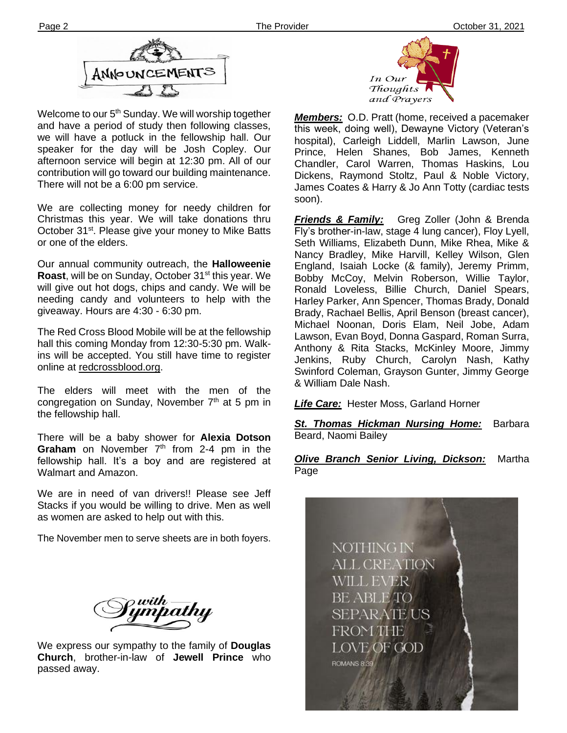

**Ther** There will not be a 6:00 pm service. Welcome to our 5<sup>th</sup> Sunday. We will worship together and have a period of study then following classes, we will have a potluck in the fellowship hall. Our speaker for the day will be Josh Copley. Our afternoon service will begin at 12:30 pm. All of our contribution will go toward our building maintenance.

We are collecting money for needy children for Christmas this year. We will take donations thru October 31<sup>st</sup>. Please give your money to Mike Batts or one of the elders.

Our annual community outreach, the **Halloweenie Roast**, will be on Sunday, October 31<sup>st</sup> this year. We will give out hot dogs, chips and candy. We will be needing candy and volunteers to help with the giveaway. Hours are 4:30 - 6:30 pm.

The Red Cross Blood Mobile will be at the fellowship hall this coming Monday from 12:30-5:30 pm. Walkins will be accepted. You still have time to register online at redcrossblood.org.

The elders will meet with the men of the congregation on Sunday, November  $7<sup>th</sup>$  at 5 pm in the fellowship hall.

There will be a baby shower for **Alexia Dotson**  Graham on November 7<sup>th</sup> from 2-4 pm in the fellowship hall. It's a boy and are registered at Walmart and Amazon.

We are in need of van drivers!! Please see Jeff Stacks if you would be willing to drive. Men as well as women are asked to help out with this.

The November men to serve sheets are in both foyers.

with —<br>ympathy

We express our sympathy to the family of **Douglas Church**, brother-in-law of **Jewell Prince** who passed away.



*Members:* O.D. Pratt (home, received a pacemaker this week, doing well), Dewayne Victory (Veteran's hospital), Carleigh Liddell, Marlin Lawson, June Prince, Helen Shanes, Bob James, Kenneth Chandler, Carol Warren, Thomas Haskins, Lou Dickens, Raymond Stoltz, Paul & Noble Victory, James Coates & Harry & Jo Ann Totty (cardiac tests soon).

*Friends & Family:* Greg Zoller (John & Brenda Fly's brother-in-law, stage 4 lung cancer), Floy Lyell, Seth Williams, Elizabeth Dunn, Mike Rhea, Mike & Nancy Bradley, Mike Harvill, Kelley Wilson, Glen England, Isaiah Locke (& family), Jeremy Primm, Bobby McCoy, Melvin Roberson, Willie Taylor, Ronald Loveless, Billie Church, Daniel Spears, Harley Parker, Ann Spencer, Thomas Brady, Donald Brady, Rachael Bellis, April Benson (breast cancer), Michael Noonan, Doris Elam, Neil Jobe, Adam Lawson, Evan Boyd, Donna Gaspard, Roman Surra, Anthony & Rita Stacks, McKinley Moore, Jimmy Jenkins, Ruby Church, Carolyn Nash, Kathy Swinford Coleman, Grayson Gunter, Jimmy George & William Dale Nash.

*Life Care:* Hester Moss, Garland Horner

*St. Thomas Hickman Nursing Home:* Barbara Beard, Naomi Bailey

*Olive Branch Senior Living, Dickson:* Martha Page

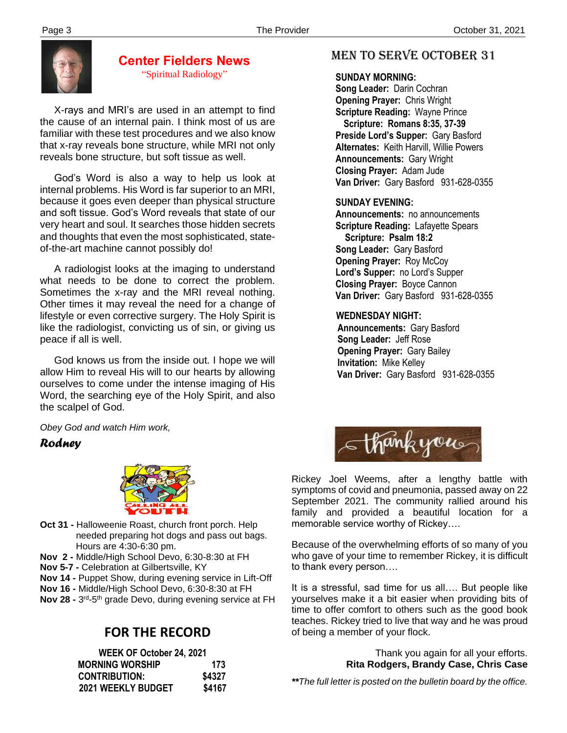

### **Center Fielders News** "Spiritual Radiology"

 X-rays and MRI's are used in an attempt to find the cause of an internal pain. I think most of us are familiar with these test procedures and we also know that x-ray reveals bone structure, while MRI not only reveals bone structure, but soft tissue as well.

 God's Word is also a way to help us look at internal problems. His Word is far superior to an MRI, because it goes even deeper than physical structure and soft tissue. God's Word reveals that state of our very heart and soul. It searches those hidden secrets and thoughts that even the most sophisticated, stateof-the-art machine cannot possibly do!

 A radiologist looks at the imaging to understand what needs to be done to correct the problem. Sometimes the x-ray and the MRI reveal nothing. Other times it may reveal the need for a change of lifestyle or even corrective surgery. The Holy Spirit is like the radiologist, convicting us of sin, or giving us peace if all is well.

 God knows us from the inside out. I hope we will allow Him to reveal His will to our hearts by allowing ourselves to come under the intense imaging of His Word, the searching eye of the Holy Spirit, and also the scalpel of God.

*Obey God and watch Him work,*

## *Rodney*



- **Oct 31 -** Halloweenie Roast, church front porch. Help needed preparing hot dogs and pass out bags. Hours are 4:30-6:30 pm.
- **Nov 2 -** Middle/High School Devo, 6:30-8:30 at FH
- **Nov 5-7 -** Celebration at Gilbertsville, KY
- **Nov 14 -** Puppet Show, during evening service in Lift-Off
- **Nov 16 -** Middle/High School Devo, 6:30-8:30 at FH
- **Nov 28 -** 3<sup>rd</sup>-5<sup>th</sup> grade Devo, during evening service at FH

# **FOR THE RECORD**

| WEEK OF October 24, 2021 |        |
|--------------------------|--------|
| <b>MORNING WORSHIP</b>   | 173    |
| <b>CONTRIBUTION:</b>     | \$4327 |
| 2021 WEEKLY BUDGET       | \$4167 |

# MEN TO SERVE October 31

#### **SUNDAY MORNING:**

**Song Leader:** Darin Cochran  **Opening Prayer:** Chris Wright **Scripture Reading:** Wayne Prince  **Scripture: Romans 8:35, 37-39 Preside Lord's Supper:** Gary Basford  **Alternates:** Keith Harvill, Willie Powers  **Announcements:** Gary Wright  **Closing Prayer:** Adam Jude **Van Driver:** Gary Basford 931-628-0355

#### **SUNDAY EVENING:**

**Announcements:** no announcements **Scripture Reading:** Lafayette Spears  **Scripture: Psalm 18:2 Song Leader:** Gary Basford **Opening Prayer: Roy McCoy Lord's Supper:** no Lord's Supper **Closing Prayer:** Boyce Cannon **Van Driver:** Gary Basford 931-628-0355

#### **WEDNESDAY NIGHT:**

**Announcements:** Gary Basford **Song Leader:** Jeff Rose **Opening Prayer:** Gary Bailey **Invitation:** Mike Kelley  **Van Driver:** Gary Basford 931-628-0355



Rickey Joel Weems, after a lengthy battle with symptoms of covid and pneumonia, passed away on 22 September 2021. The community rallied around his family and provided a beautiful location for a memorable service worthy of Rickey….

Because of the overwhelming efforts of so many of you who gave of your time to remember Rickey, it is difficult to thank every person….

It is a stressful, sad time for us all…. But people like yourselves make it a bit easier when providing bits of time to offer comfort to others such as the good book teaches. Rickey tried to live that way and he was proud of being a member of your flock.

> Thank you again for all your efforts. **Rita Rodgers, Brandy Case, Chris Case**

*\*\*The full letter is posted on the bulletin board by the office.*